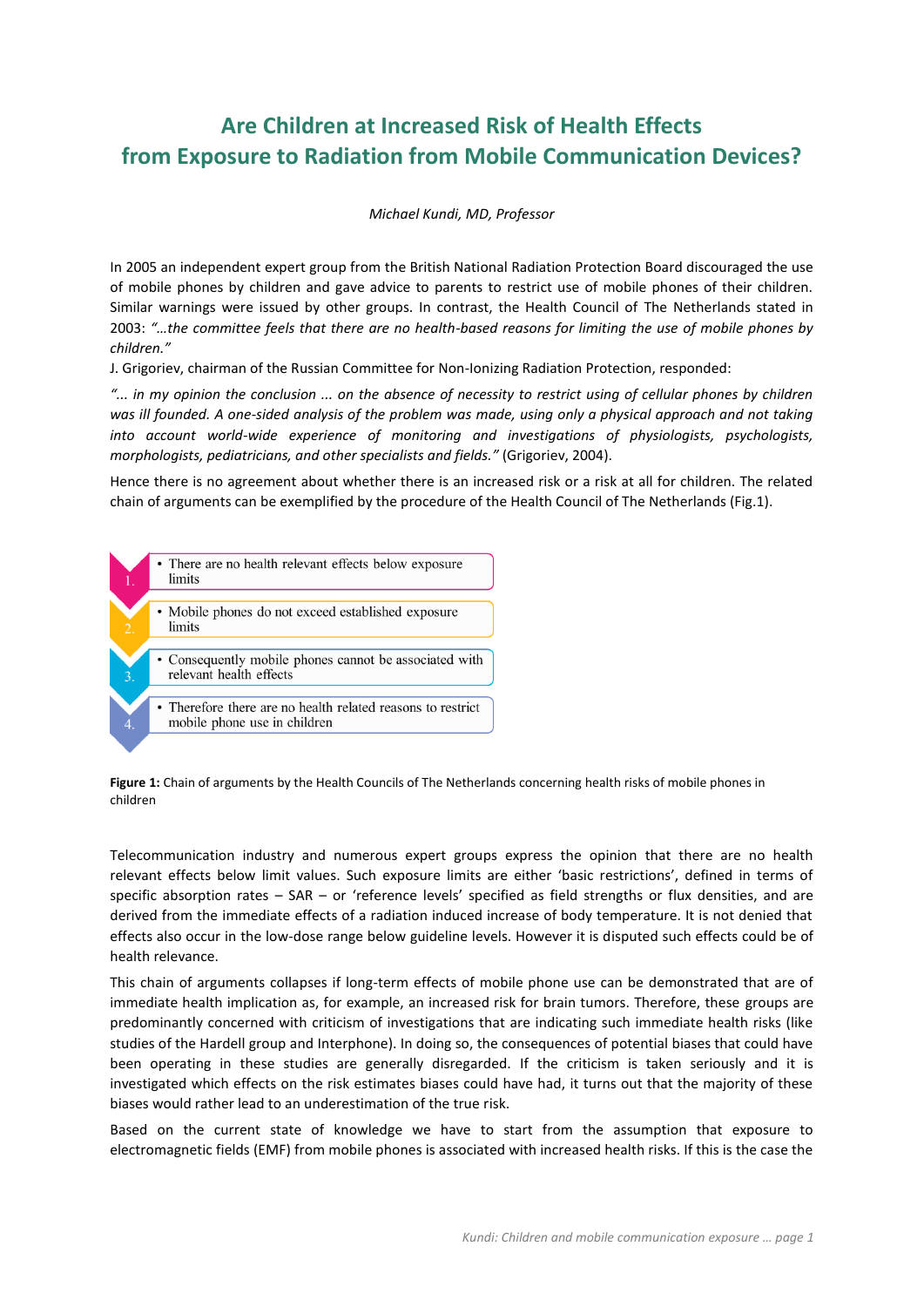# **Are Children at Increased Risk of Health Effects from Exposure to Radiation from Mobile Communication Devices?**

#### *Michael Kundi, MD, Professor*

In 2005 an independent expert group from the British National Radiation Protection Board discouraged the use of mobile phones by children and gave advice to parents to restrict use of mobile phones of their children. Similar warnings were issued by other groups. In contrast, the Health Council of The Netherlands stated in 2003: *"…the committee feels that there are no health-based reasons for limiting the use of mobile phones by children."*

J. Grigoriev, chairman of the Russian Committee for Non-Ionizing Radiation Protection, responded:

*"... in my opinion the conclusion ... on the absence of necessity to restrict using of cellular phones by children was ill founded. A one-sided analysis of the problem was made, using only a physical approach and not taking into account world-wide experience of monitoring and investigations of physiologists, psychologists, morphologists, pediatricians, and other specialists and fields."* (Grigoriev, 2004).

Hence there is no agreement about whether there is an increased risk or a risk at all for children. The related chain of arguments can be exemplified by the procedure of the Health Council of The Netherlands (Fig.1).



**Figure 1:** Chain of arguments by the Health Councils of The Netherlands concerning health risks of mobile phones in children

Telecommunication industry and numerous expert groups express the opinion that there are no health relevant effects below limit values. Such exposure limits are either 'basic restrictions', defined in terms of specific absorption rates – SAR – or 'reference levels' specified as field strengths or flux densities, and are derived from the immediate effects of a radiation induced increase of body temperature. It is not denied that effects also occur in the low-dose range below guideline levels. However it is disputed such effects could be of health relevance.

This chain of arguments collapses if long-term effects of mobile phone use can be demonstrated that are of immediate health implication as, for example, an increased risk for brain tumors. Therefore, these groups are predominantly concerned with criticism of investigations that are indicating such immediate health risks (like studies of the Hardell group and Interphone). In doing so, the consequences of potential biases that could have been operating in these studies are generally disregarded. If the criticism is taken seriously and it is investigated which effects on the risk estimates biases could have had, it turns out that the majority of these biases would rather lead to an underestimation of the true risk.

Based on the current state of knowledge we have to start from the assumption that exposure to electromagnetic fields (EMF) from mobile phones is associated with increased health risks. If this is the case the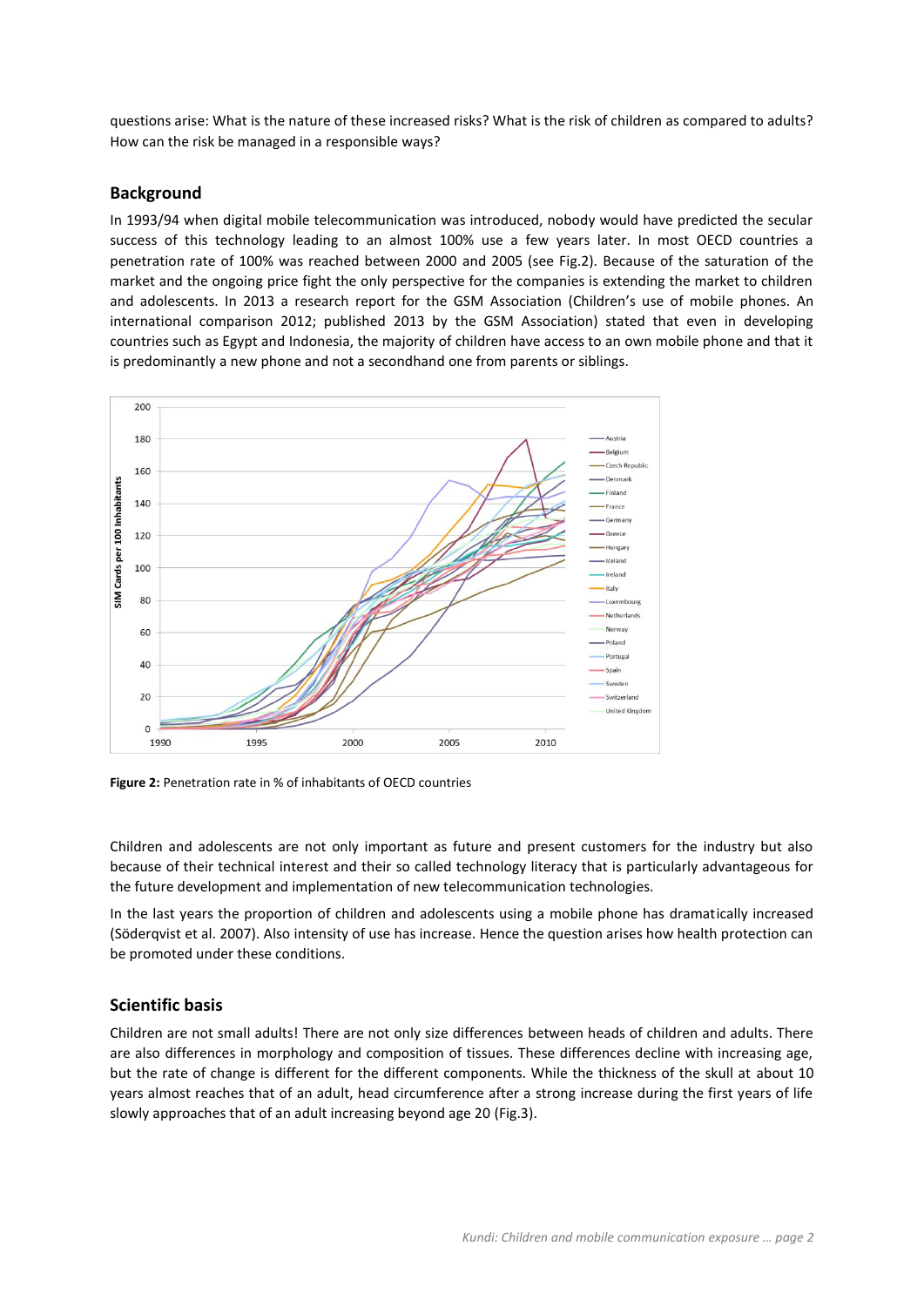questions arise: What is the nature of these increased risks? What is the risk of children as compared to adults? How can the risk be managed in a responsible ways?

## **Background**

In 1993/94 when digital mobile telecommunication was introduced, nobody would have predicted the secular success of this technology leading to an almost 100% use a few years later. In most OECD countries a penetration rate of 100% was reached between 2000 and 2005 (see Fig.2). Because of the saturation of the market and the ongoing price fight the only perspective for the companies is extending the market to children and adolescents. In 2013 a research report for the GSM Association (Children's use of mobile phones. An international comparison 2012; published 2013 by the GSM Association) stated that even in developing countries such as Egypt and Indonesia, the majority of children have access to an own mobile phone and that it is predominantly a new phone and not a secondhand one from parents or siblings.



**Figure 2:** Penetration rate in % of inhabitants of OECD countries

Children and adolescents are not only important as future and present customers for the industry but also because of their technical interest and their so called technology literacy that is particularly advantageous for the future development and implementation of new telecommunication technologies.

In the last years the proportion of children and adolescents using a mobile phone has dramatically increased (Söderqvist et al. 2007). Also intensity of use has increase. Hence the question arises how health protection can be promoted under these conditions.

## **Scientific basis**

Children are not small adults! There are not only size differences between heads of children and adults. There are also differences in morphology and composition of tissues. These differences decline with increasing age, but the rate of change is different for the different components. While the thickness of the skull at about 10 years almost reaches that of an adult, head circumference after a strong increase during the first years of life slowly approaches that of an adult increasing beyond age 20 (Fig.3).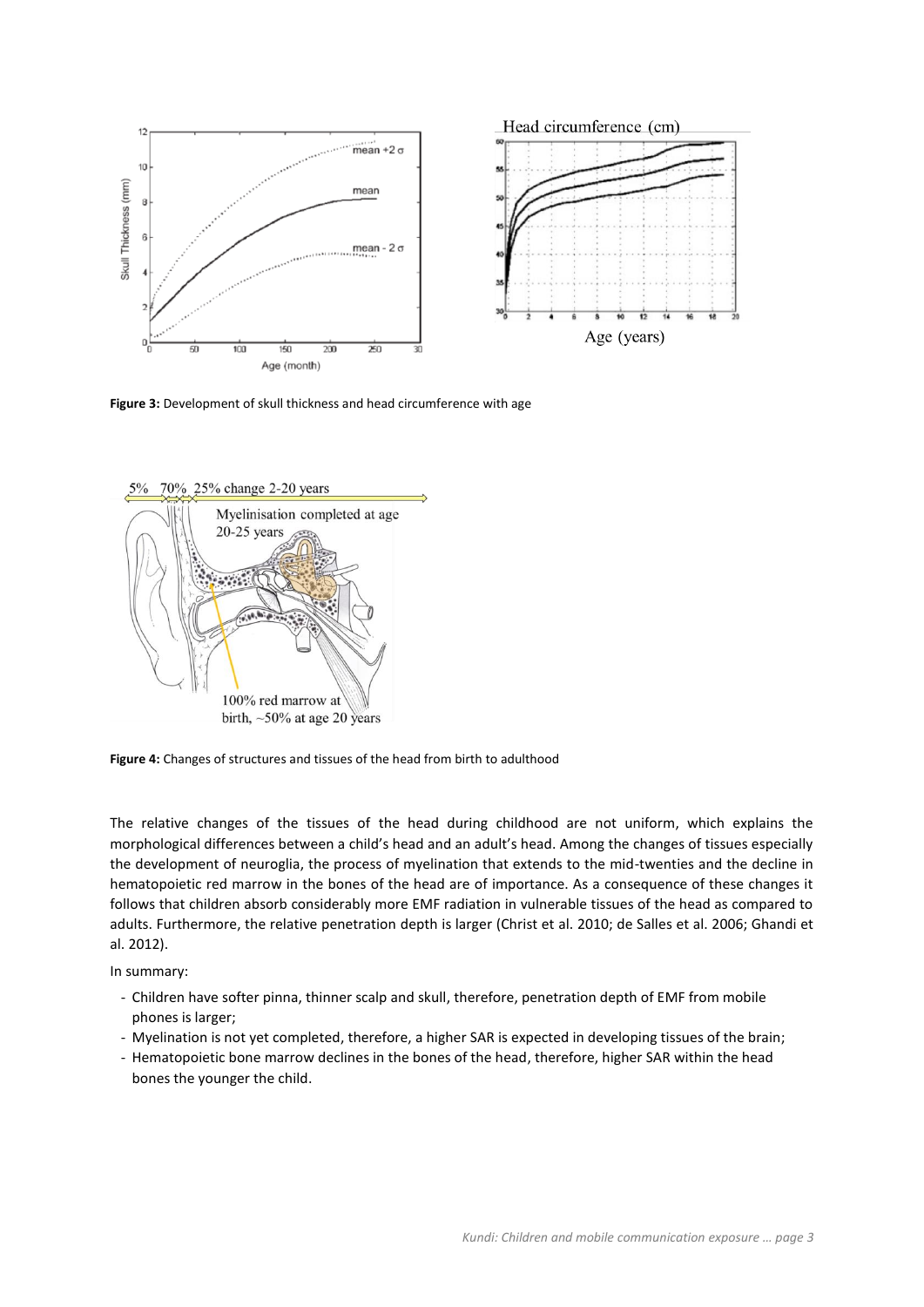

**Figure 3:** Development of skull thickness and head circumference with age



**Figure 4:** Changes of structures and tissues of the head from birth to adulthood

The relative changes of the tissues of the head during childhood are not uniform, which explains the morphological differences between a child's head and an adult's head. Among the changes of tissues especially the development of neuroglia, the process of myelination that extends to the mid-twenties and the decline in hematopoietic red marrow in the bones of the head are of importance. As a consequence of these changes it follows that children absorb considerably more EMF radiation in vulnerable tissues of the head as compared to adults. Furthermore, the relative penetration depth is larger (Christ et al. 2010; de Salles et al. 2006; Ghandi et al. 2012).

In summary:

- Children have softer pinna, thinner scalp and skull, therefore, penetration depth of EMF from mobile phones is larger;
- Myelination is not yet completed, therefore, a higher SAR is expected in developing tissues of the brain;
- Hematopoietic bone marrow declines in the bones of the head, therefore, higher SAR within the head bones the younger the child.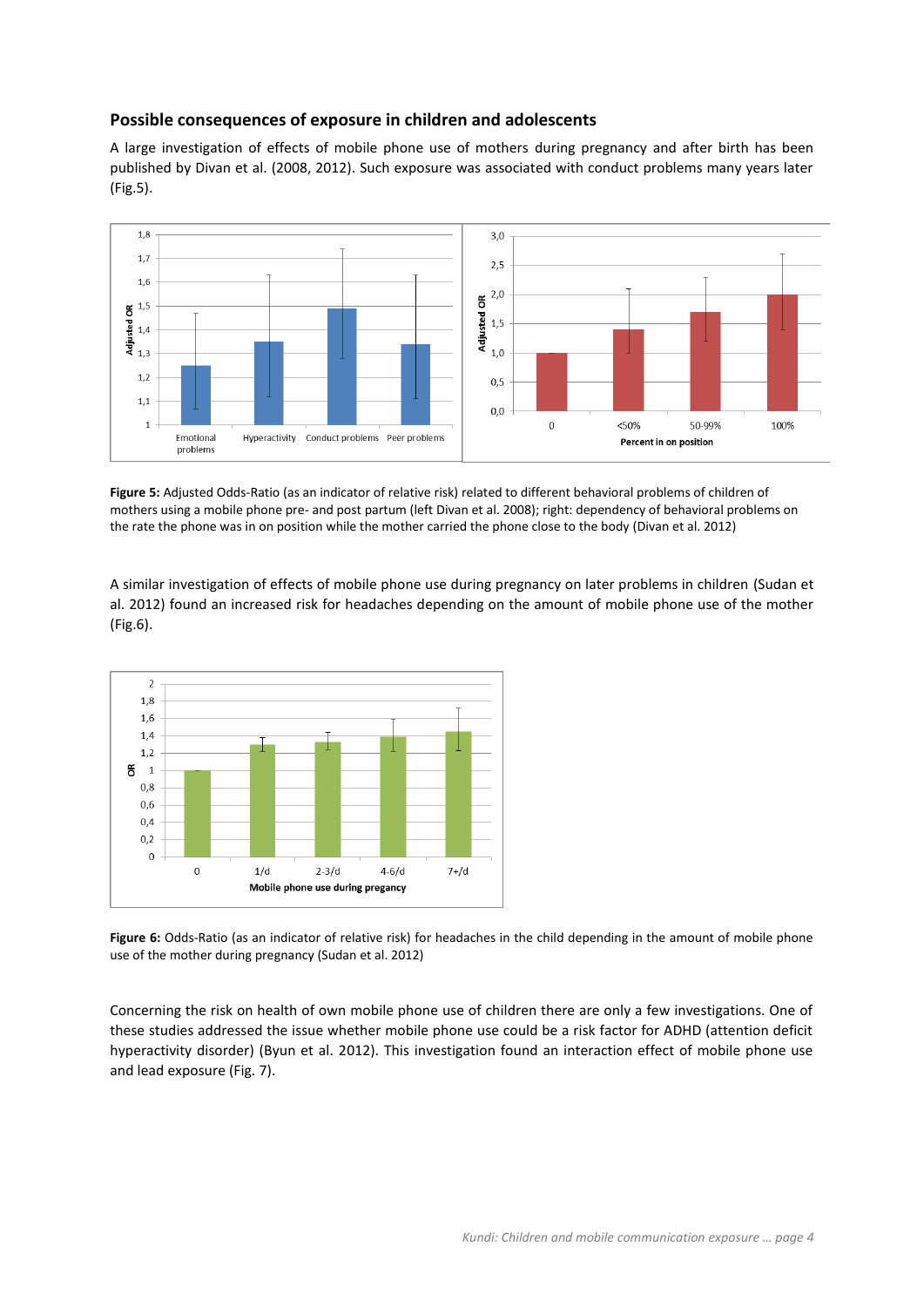## **Possible consequences of exposure in children and adolescents**

A large investigation of effects of mobile phone use of mothers during pregnancy and after birth has been published by Divan et al. (2008, 2012). Such exposure was associated with conduct problems many years later (Fig.5).



**Figure 5:** Adjusted Odds-Ratio (as an indicator of relative risk) related to different behavioral problems of children of mothers using a mobile phone pre- and post partum (left Divan et al. 2008); right: dependency of behavioral problems on the rate the phone was in on position while the mother carried the phone close to the body (Divan et al. 2012)

A similar investigation of effects of mobile phone use during pregnancy on later problems in children (Sudan et al. 2012) found an increased risk for headaches depending on the amount of mobile phone use of the mother (Fig.6).



**Figure 6:** Odds-Ratio (as an indicator of relative risk) for headaches in the child depending in the amount of mobile phone use of the mother during pregnancy (Sudan et al. 2012)

Concerning the risk on health of own mobile phone use of children there are only a few investigations. One of these studies addressed the issue whether mobile phone use could be a risk factor for ADHD (attention deficit hyperactivity disorder) (Byun et al. 2012). This investigation found an interaction effect of mobile phone use and lead exposure (Fig. 7).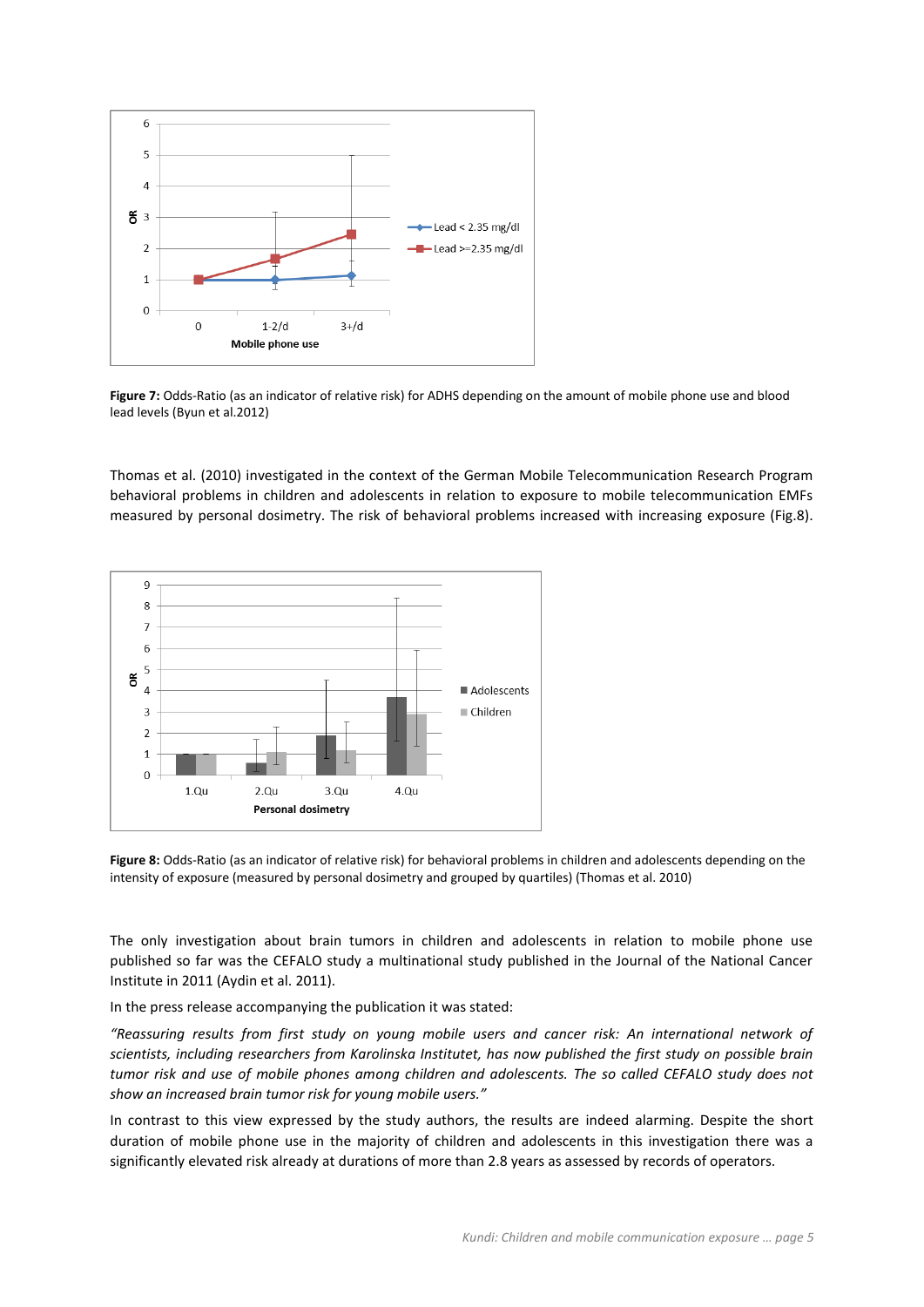

**Figure 7:** Odds-Ratio (as an indicator of relative risk) for ADHS depending on the amount of mobile phone use and blood lead levels (Byun et al.2012)

Thomas et al. (2010) investigated in the context of the German Mobile Telecommunication Research Program behavioral problems in children and adolescents in relation to exposure to mobile telecommunication EMFs measured by personal dosimetry. The risk of behavioral problems increased with increasing exposure (Fig.8).



**Figure 8:** Odds-Ratio (as an indicator of relative risk) for behavioral problems in children and adolescents depending on the intensity of exposure (measured by personal dosimetry and grouped by quartiles) (Thomas et al. 2010)

The only investigation about brain tumors in children and adolescents in relation to mobile phone use published so far was the CEFALO study a multinational study published in the Journal of the National Cancer Institute in 2011 (Aydin et al. 2011).

In the press release accompanying the publication it was stated:

*"Reassuring results from first study on young mobile users and cancer risk: An international network of scientists, including researchers from Karolinska Institutet, has now published the first study on possible brain tumor risk and use of mobile phones among children and adolescents. The so called CEFALO study does not show an increased brain tumor risk for young mobile users."* 

In contrast to this view expressed by the study authors, the results are indeed alarming. Despite the short duration of mobile phone use in the majority of children and adolescents in this investigation there was a significantly elevated risk already at durations of more than 2.8 years as assessed by records of operators.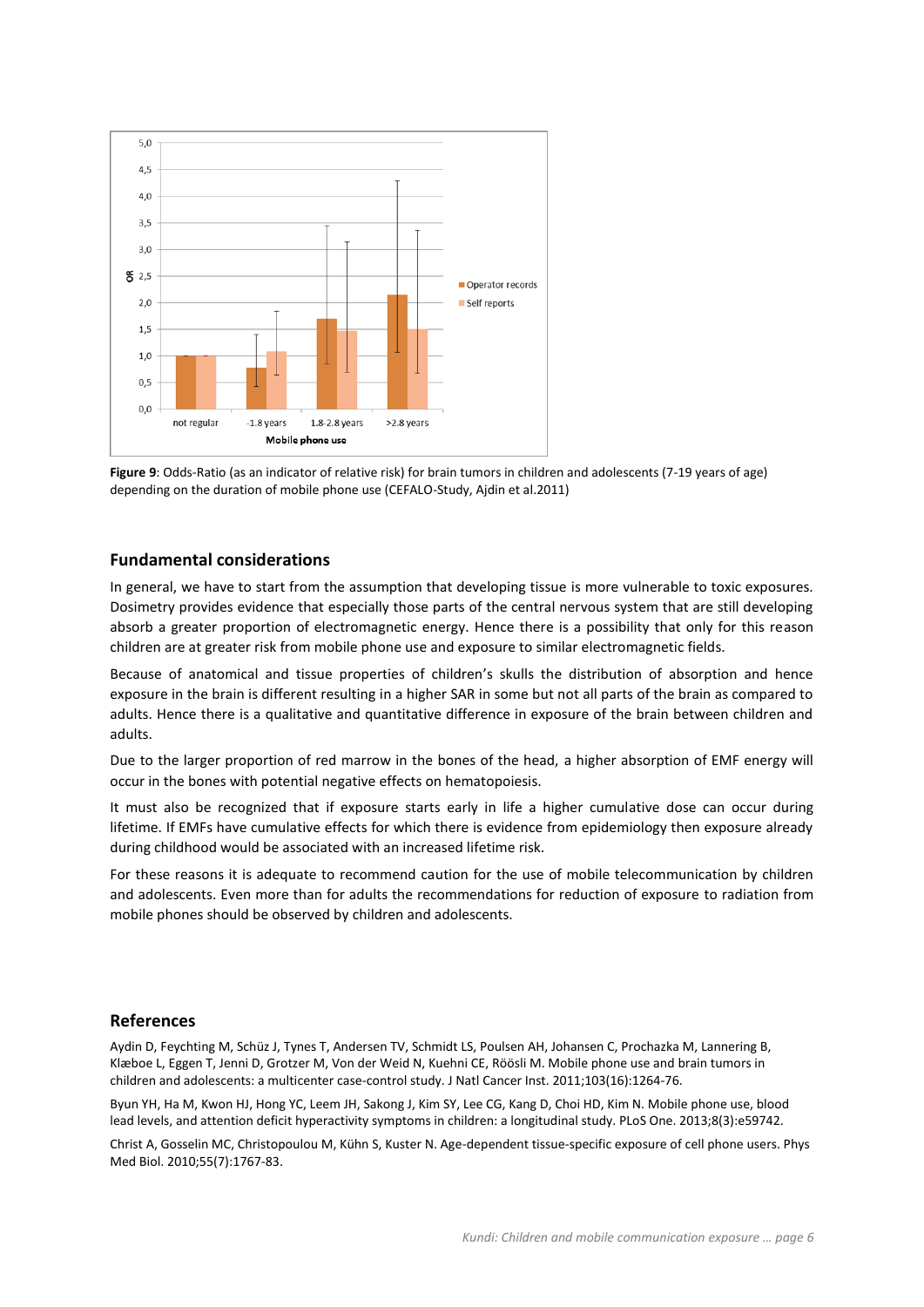

**Figure 9**: Odds-Ratio (as an indicator of relative risk) for brain tumors in children and adolescents (7-19 years of age) depending on the duration of mobile phone use (CEFALO-Study, Ajdin et al.2011)

## **Fundamental considerations**

In general, we have to start from the assumption that developing tissue is more vulnerable to toxic exposures. Dosimetry provides evidence that especially those parts of the central nervous system that are still developing absorb a greater proportion of electromagnetic energy. Hence there is a possibility that only for this reason children are at greater risk from mobile phone use and exposure to similar electromagnetic fields.

Because of anatomical and tissue properties of children's skulls the distribution of absorption and hence exposure in the brain is different resulting in a higher SAR in some but not all parts of the brain as compared to adults. Hence there is a qualitative and quantitative difference in exposure of the brain between children and adults.

Due to the larger proportion of red marrow in the bones of the head, a higher absorption of EMF energy will occur in the bones with potential negative effects on hematopoiesis.

It must also be recognized that if exposure starts early in life a higher cumulative dose can occur during lifetime. If EMFs have cumulative effects for which there is evidence from epidemiology then exposure already during childhood would be associated with an increased lifetime risk.

For these reasons it is adequate to recommend caution for the use of mobile telecommunication by children and adolescents. Even more than for adults the recommendations for reduction of exposure to radiation from mobile phones should be observed by children and adolescents.

### **References**

Aydin D, Feychting M, Schüz J, Tynes T, Andersen TV, Schmidt LS, Poulsen AH, Johansen C, Prochazka M, Lannering B, Klæboe L, Eggen T, Jenni D, Grotzer M, Von der Weid N, Kuehni CE, Röösli M. Mobile phone use and brain tumors in children and adolescents: a multicenter case-control study. J Natl Cancer Inst. 2011;103(16):1264-76.

Byun YH, Ha M, Kwon HJ, Hong YC, Leem JH, Sakong J, Kim SY, Lee CG, Kang D, Choi HD, Kim N. Mobile phone use, blood lead levels, and attention deficit hyperactivity symptoms in children: a longitudinal study. PLoS One. 2013;8(3):e59742.

Christ A, Gosselin MC, Christopoulou M, Kühn S, Kuster N. Age-dependent tissue-specific exposure of cell phone users. Phys Med Biol. 2010;55(7):1767-83.